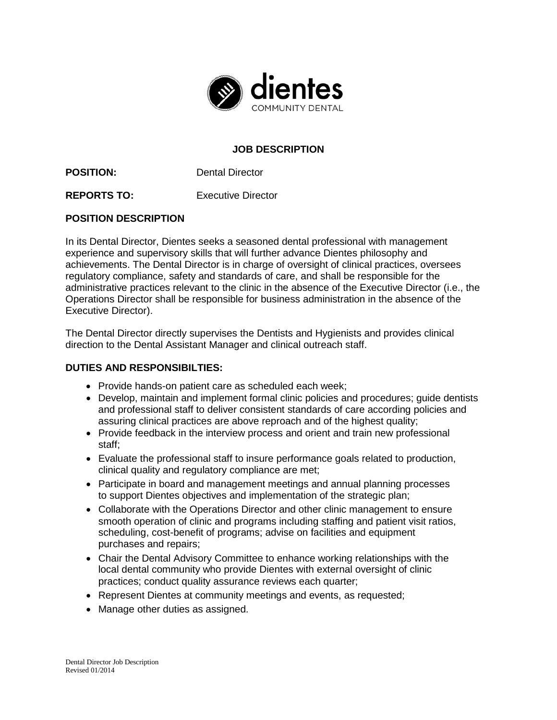

## **JOB DESCRIPTION**

**POSITION:** Dental Director

**REPORTS TO:** Executive Director

## **POSITION DESCRIPTION**

In its Dental Director, Dientes seeks a seasoned dental professional with management experience and supervisory skills that will further advance Dientes philosophy and achievements. The Dental Director is in charge of oversight of clinical practices, oversees regulatory compliance, safety and standards of care, and shall be responsible for the administrative practices relevant to the clinic in the absence of the Executive Director (i.e., the Operations Director shall be responsible for business administration in the absence of the Executive Director).

The Dental Director directly supervises the Dentists and Hygienists and provides clinical direction to the Dental Assistant Manager and clinical outreach staff.

## **DUTIES AND RESPONSIBILTIES:**

- Provide hands-on patient care as scheduled each week;
- Develop, maintain and implement formal clinic policies and procedures; quide dentists and professional staff to deliver consistent standards of care according policies and assuring clinical practices are above reproach and of the highest quality;
- Provide feedback in the interview process and orient and train new professional staff;
- Evaluate the professional staff to insure performance goals related to production, clinical quality and regulatory compliance are met;
- Participate in board and management meetings and annual planning processes to support Dientes objectives and implementation of the strategic plan;
- Collaborate with the Operations Director and other clinic management to ensure smooth operation of clinic and programs including staffing and patient visit ratios, scheduling, cost-benefit of programs; advise on facilities and equipment purchases and repairs;
- Chair the Dental Advisory Committee to enhance working relationships with the local dental community who provide Dientes with external oversight of clinic practices; conduct quality assurance reviews each quarter;
- Represent Dientes at community meetings and events, as requested;
- Manage other duties as assigned.